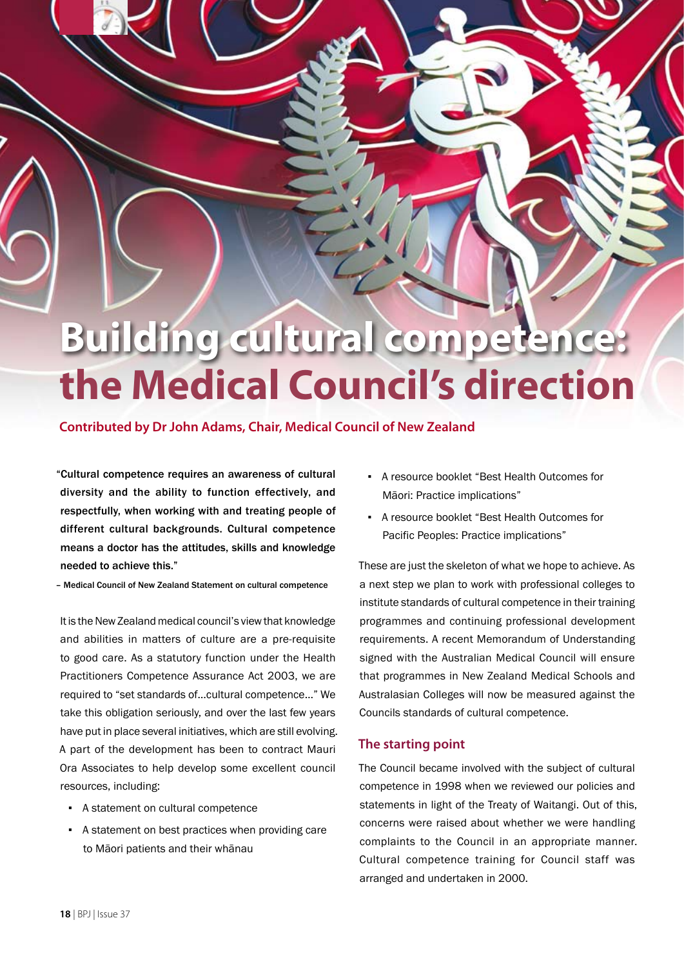# **Building cultural competence: the Medical Council's direction**

## **Contributed by Dr John Adams, Chair, Medical Council of New Zealand**

"Cultural competence requires an awareness of cultural diversity and the ability to function effectively, and respectfully, when working with and treating people of different cultural backgrounds. Cultural competence means a doctor has the attitudes, skills and knowledge needed to achieve this."

– Medical Council of New Zealand Statement on cultural competence

It is the New Zealand medical council's view that knowledge and abilities in matters of culture are a pre-requisite to good care. As a statutory function under the Health Practitioners Competence Assurance Act 2003, we are required to "set standards of…cultural competence…" We take this obligation seriously, and over the last few years have put in place several initiatives, which are still evolving. A part of the development has been to contract Mauri Ora Associates to help develop some excellent council resources, including:

- A statement on cultural competence
- A statement on best practices when providing care to Māori patients and their whānau
- A resource booklet "Best Health Outcomes for Māori: Practice implications"
- A resource booklet "Best Health Outcomes for Pacific Peoples: Practice implications"

These are just the skeleton of what we hope to achieve. As a next step we plan to work with professional colleges to institute standards of cultural competence in their training programmes and continuing professional development requirements. A recent Memorandum of Understanding signed with the Australian Medical Council will ensure that programmes in New Zealand Medical Schools and Australasian Colleges will now be measured against the Councils standards of cultural competence.

## **The starting point**

The Council became involved with the subject of cultural competence in 1998 when we reviewed our policies and statements in light of the Treaty of Waitangi. Out of this, concerns were raised about whether we were handling complaints to the Council in an appropriate manner. Cultural competence training for Council staff was arranged and undertaken in 2000.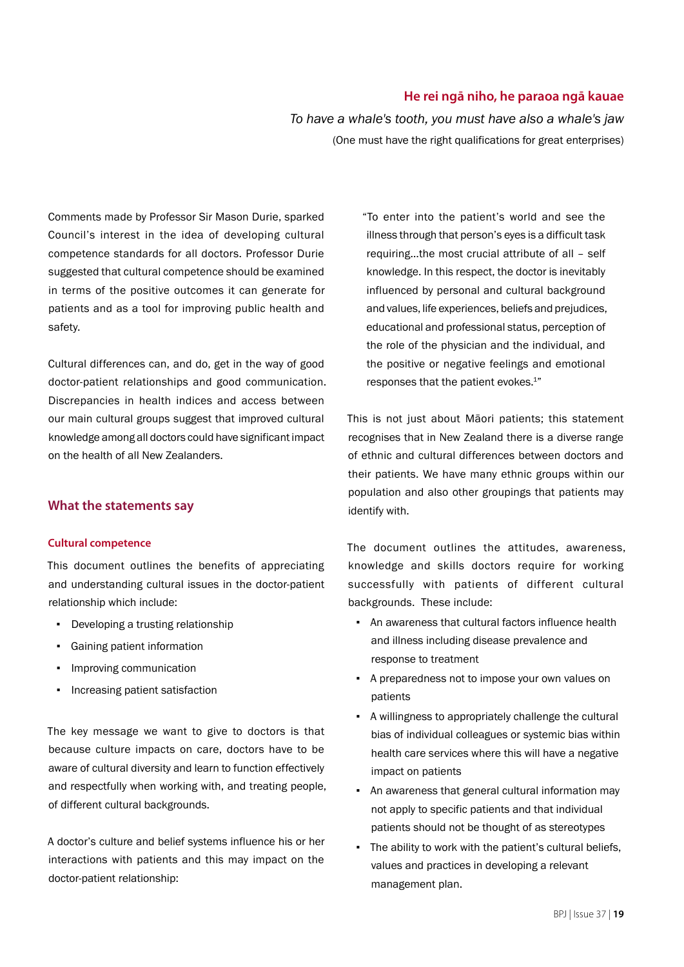## **He rei ngā niho, he paraoa ngā kauae**

*To have a whale's tooth, you must have also a whale's jaw* (One must have the right qualifications for great enterprises)

Comments made by Professor Sir Mason Durie, sparked Council's interest in the idea of developing cultural competence standards for all doctors. Professor Durie suggested that cultural competence should be examined in terms of the positive outcomes it can generate for patients and as a tool for improving public health and safety.

Cultural differences can, and do, get in the way of good doctor-patient relationships and good communication. Discrepancies in health indices and access between our main cultural groups suggest that improved cultural knowledge among all doctors could have significant impact on the health of all New Zealanders.

## **What the statements say**

#### **Cultural competence**

This document outlines the benefits of appreciating and understanding cultural issues in the doctor-patient relationship which include:

- Developing a trusting relationship
- Gaining patient information
- **•** Improving communication
- Increasing patient satisfaction

The key message we want to give to doctors is that because culture impacts on care, doctors have to be aware of cultural diversity and learn to function effectively and respectfully when working with, and treating people, of different cultural backgrounds.

A doctor's culture and belief systems influence his or her interactions with patients and this may impact on the doctor-patient relationship:

"To enter into the patient's world and see the illness through that person's eyes is a difficult task requiring…the most crucial attribute of all – self knowledge. In this respect, the doctor is inevitably influenced by personal and cultural background and values, life experiences, beliefs and prejudices, educational and professional status, perception of the role of the physician and the individual, and the positive or negative feelings and emotional responses that the patient evokes.<sup>1"</sup>

This is not just about Māori patients; this statement recognises that in New Zealand there is a diverse range of ethnic and cultural differences between doctors and their patients. We have many ethnic groups within our population and also other groupings that patients may identify with.

The document outlines the attitudes, awareness, knowledge and skills doctors require for working successfully with patients of different cultural backgrounds. These include:

- An awareness that cultural factors influence health and illness including disease prevalence and response to treatment
- A preparedness not to impose your own values on patients
- A willingness to appropriately challenge the cultural bias of individual colleagues or systemic bias within health care services where this will have a negative impact on patients
- An awareness that general cultural information may not apply to specific patients and that individual patients should not be thought of as stereotypes
- The ability to work with the patient's cultural beliefs, values and practices in developing a relevant management plan.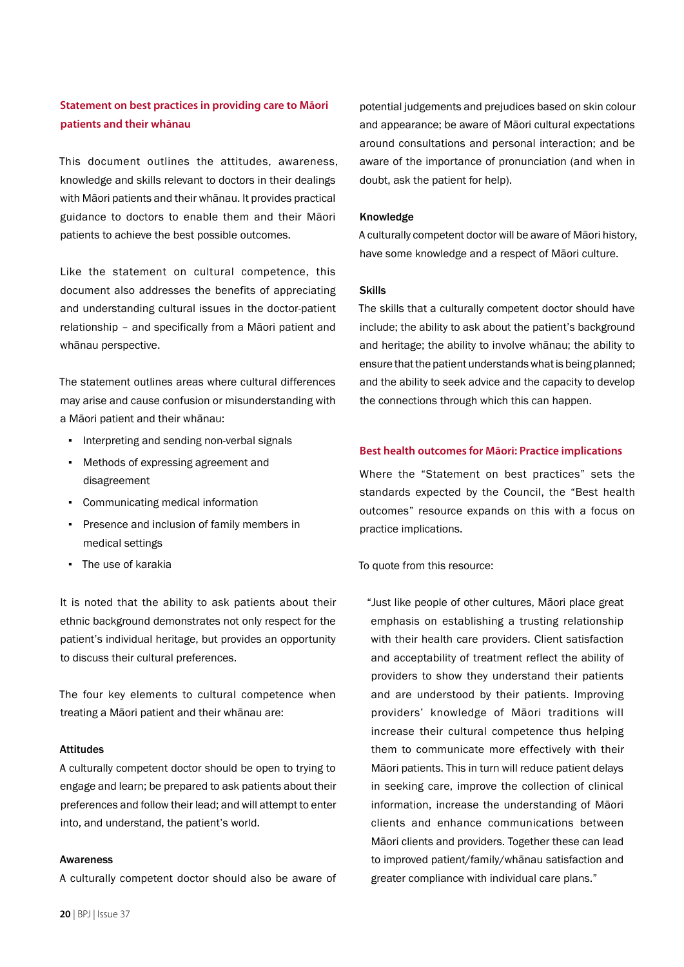# **Statement on best practices in providing care to Māori patients and their whānau**

This document outlines the attitudes, awareness, knowledge and skills relevant to doctors in their dealings with Māori patients and their whānau. It provides practical guidance to doctors to enable them and their Māori patients to achieve the best possible outcomes.

Like the statement on cultural competence, this document also addresses the benefits of appreciating and understanding cultural issues in the doctor-patient relationship – and specifically from a Māori patient and whānau perspective.

The statement outlines areas where cultural differences may arise and cause confusion or misunderstanding with a Māori patient and their whānau:

- Interpreting and sending non-verbal signals
- Methods of expressing agreement and disagreement
- Communicating medical information
- Presence and inclusion of family members in medical settings
- The use of karakia

It is noted that the ability to ask patients about their ethnic background demonstrates not only respect for the patient's individual heritage, but provides an opportunity to discuss their cultural preferences.

The four key elements to cultural competence when treating a Māori patient and their whānau are:

#### Attitudes

A culturally competent doctor should be open to trying to engage and learn; be prepared to ask patients about their preferences and follow their lead; and will attempt to enter into, and understand, the patient's world.

#### Awareness

A culturally competent doctor should also be aware of

potential judgements and prejudices based on skin colour and appearance; be aware of Māori cultural expectations around consultations and personal interaction; and be aware of the importance of pronunciation (and when in doubt, ask the patient for help).

#### Knowledge

A culturally competent doctor will be aware of Māori history, have some knowledge and a respect of Māori culture.

#### Skills

The skills that a culturally competent doctor should have include; the ability to ask about the patient's background and heritage; the ability to involve whānau; the ability to ensure that the patient understands what is being planned; and the ability to seek advice and the capacity to develop the connections through which this can happen.

#### **Best health outcomes for Māori: Practice implications**

Where the "Statement on best practices" sets the standards expected by the Council, the "Best health outcomes" resource expands on this with a focus on practice implications.

To quote from this resource:

"Just like people of other cultures, Māori place great emphasis on establishing a trusting relationship with their health care providers. Client satisfaction and acceptability of treatment reflect the ability of providers to show they understand their patients and are understood by their patients. Improving providers' knowledge of Māori traditions will increase their cultural competence thus helping them to communicate more effectively with their Māori patients. This in turn will reduce patient delays in seeking care, improve the collection of clinical information, increase the understanding of Māori clients and enhance communications between Māori clients and providers. Together these can lead to improved patient/family/whānau satisfaction and greater compliance with individual care plans."